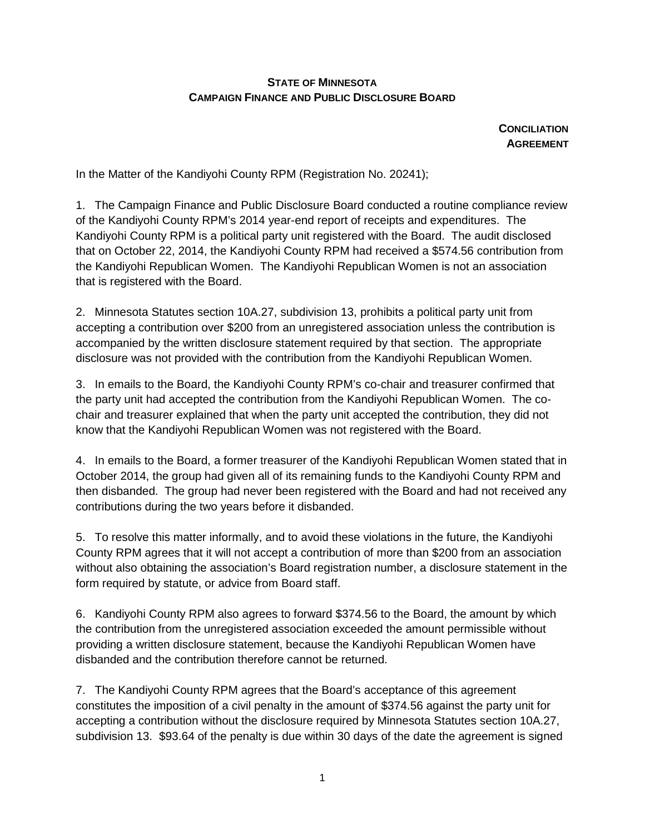## **STATE OF MINNESOTA CAMPAIGN FINANCE AND PUBLIC DISCLOSURE BOARD**

**CONCILIATION AGREEMENT**

In the Matter of the Kandiyohi County RPM (Registration No. 20241);

1. The Campaign Finance and Public Disclosure Board conducted a routine compliance review of the Kandiyohi County RPM's 2014 year-end report of receipts and expenditures. The Kandiyohi County RPM is a political party unit registered with the Board. The audit disclosed that on October 22, 2014, the Kandiyohi County RPM had received a \$574.56 contribution from the Kandiyohi Republican Women. The Kandiyohi Republican Women is not an association that is registered with the Board.

2. Minnesota Statutes section 10A.27, subdivision 13, prohibits a political party unit from accepting a contribution over \$200 from an unregistered association unless the contribution is accompanied by the written disclosure statement required by that section. The appropriate disclosure was not provided with the contribution from the Kandiyohi Republican Women.

3. In emails to the Board, the Kandiyohi County RPM's co-chair and treasurer confirmed that the party unit had accepted the contribution from the Kandiyohi Republican Women. The cochair and treasurer explained that when the party unit accepted the contribution, they did not know that the Kandiyohi Republican Women was not registered with the Board.

4. In emails to the Board, a former treasurer of the Kandiyohi Republican Women stated that in October 2014, the group had given all of its remaining funds to the Kandiyohi County RPM and then disbanded. The group had never been registered with the Board and had not received any contributions during the two years before it disbanded.

5. To resolve this matter informally, and to avoid these violations in the future, the Kandiyohi County RPM agrees that it will not accept a contribution of more than \$200 from an association without also obtaining the association's Board registration number, a disclosure statement in the form required by statute, or advice from Board staff.

6. Kandiyohi County RPM also agrees to forward \$374.56 to the Board, the amount by which the contribution from the unregistered association exceeded the amount permissible without providing a written disclosure statement, because the Kandiyohi Republican Women have disbanded and the contribution therefore cannot be returned.

7. The Kandiyohi County RPM agrees that the Board's acceptance of this agreement constitutes the imposition of a civil penalty in the amount of \$374.56 against the party unit for accepting a contribution without the disclosure required by Minnesota Statutes section 10A.27, subdivision 13. \$93.64 of the penalty is due within 30 days of the date the agreement is signed